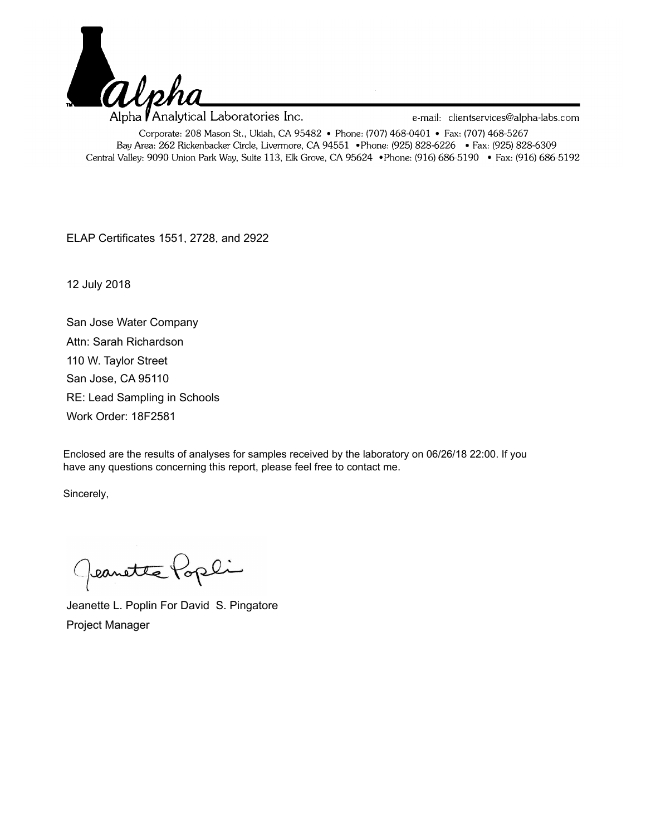

Alpha **/** Analytical Laboratories Inc. e-mail: clientservices@alpha-labs.com Corporate: 208 Mason St., Ukiah, CA 95482 • Phone: (707) 468-0401 • Fax: (707) 468-5267 Bay Area: 262 Rickenbacker Circle, Livermore, CA 94551 • Phone: (925) 828-6226 • Fax: (925) 828-6309 Central Valley: 9090 Union Park Way, Suite 113, Elk Grove, CA 95624 • Phone: (916) 686-5190 • Fax: (916) 686-5192

ELAP Certificates 1551, 2728, and 2922

12 July 2018

San Jose Water Company RE: Lead Sampling in Schools San Jose, CA 95110 110 W. Taylor Street Work Order: 18F2581 Attn: Sarah Richardson

Enclosed are the results of analyses for samples received by the laboratory on 06/26/18 22:00. If you have any questions concerning this report, please feel free to contact me.

Sincerely,

Geanette Popli

Jeanette L. Poplin For David S. Pingatore Project Manager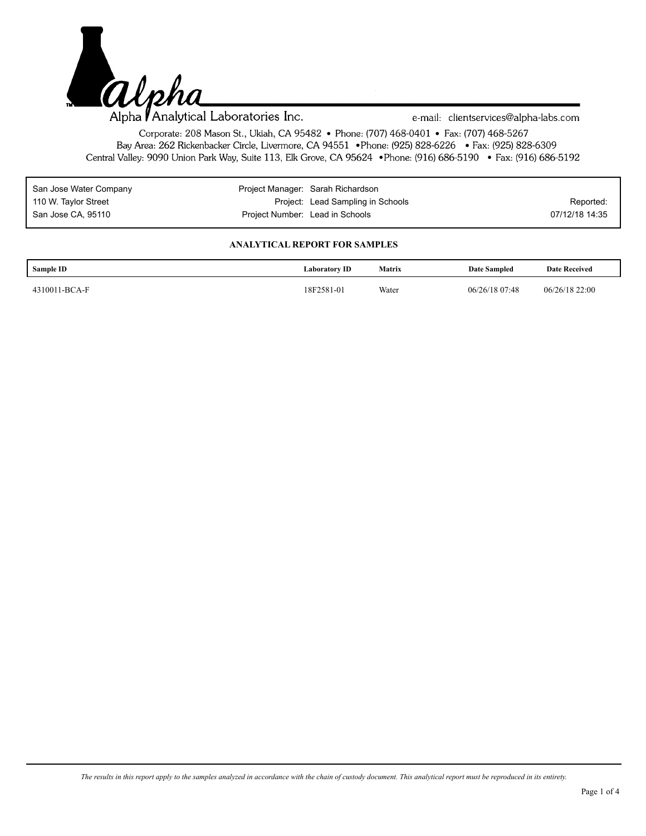

e-mail: clientservices@alpha-labs.com

Corporate: 208 Mason St., Ukiah, CA 95482 • Phone: (707) 468-0401 • Fax: (707) 468-5267 Bay Area: 262 Rickenbacker Circle, Livermore, CA 94551 • Phone: (925) 828-6226 • Fax: (925) 828-6309 Central Valley: 9090 Union Park Way, Suite 113, Elk Grove, CA 95624 • Phone: (916) 686-5190 • Fax: (916) 686-5192

| San Jose Water Company | Project Manager: Sarah Richardson |                                   |                |
|------------------------|-----------------------------------|-----------------------------------|----------------|
| 110 W. Taylor Street   |                                   | Project: Lead Sampling in Schools | Reported:      |
| San Jose CA, 95110     | Project Number: Lead in Schools   |                                   | 07/12/18 14:35 |

## **ANALYTICAL REPORT FOR SAMPLES**

| Sample ID     | Laboratory <b>ID</b> | <b>Matrix</b><br>$\cdots$ | <b>Date Sampled</b> | <b>Date Received</b> |
|---------------|----------------------|---------------------------|---------------------|----------------------|
| 4310011-BCA-F | 18F2581-01           | Water                     | 06/26/18 07:48      | 06/26/18 22:00       |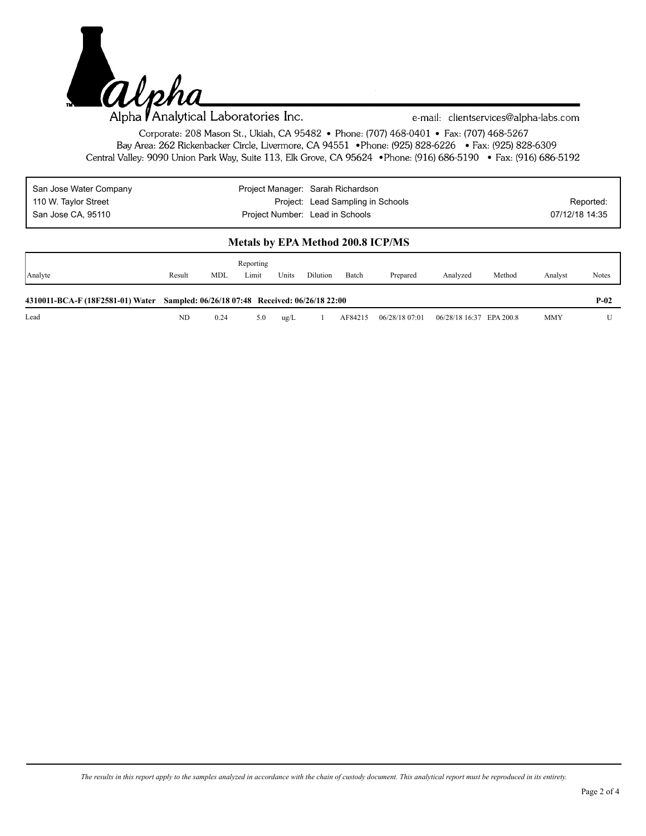

e-mail: clientservices@alpha-labs.com

Corporate: 208 Mason St., Ukiah, CA 95482 • Phone: (707) 468-0401 • Fax: (707) 468-5267 Bay Area: 262 Rickenbacker Circle, Livermore, CA 94551 • Phone: (925) 828-6226 • Fax: (925) 828-6309 Central Valley: 9090 Union Park Way, Suite 113, Elk Grove, CA 95624 • Phone: (916) 686-5190 • Fax: (916) 686-5192

| San Jose Water Company | Project Manager: Sarah Richardson |                |
|------------------------|-----------------------------------|----------------|
| 110 W. Taylor Street   | Project: Lead Sampling in Schools | Reported:      |
| San Jose CA, 95110     | Project Number: Lead in Schools   | 07/12/18 14:35 |

## **Metals by EPA Method 200.8 ICP/MS**

| Analyte                                                                           | Result | <b>MDL</b> | Reporting<br>Limit | Units | Dilution | Batch   | Prepared       | Analyzed                 | Method | Analyst | Notes  |
|-----------------------------------------------------------------------------------|--------|------------|--------------------|-------|----------|---------|----------------|--------------------------|--------|---------|--------|
| 4310011-BCA-F (18F2581-01) Water Sampled: 06/26/18 07:48 Received: 06/26/18 22:00 |        |            |                    |       |          |         |                |                          |        |         | $P-02$ |
| Lead                                                                              | ND     | 0.24       | 5.0                | ug/L  |          | AF84215 | 06/28/18 07:01 | 06/28/18 16:37 EPA 200.8 |        | MMY     |        |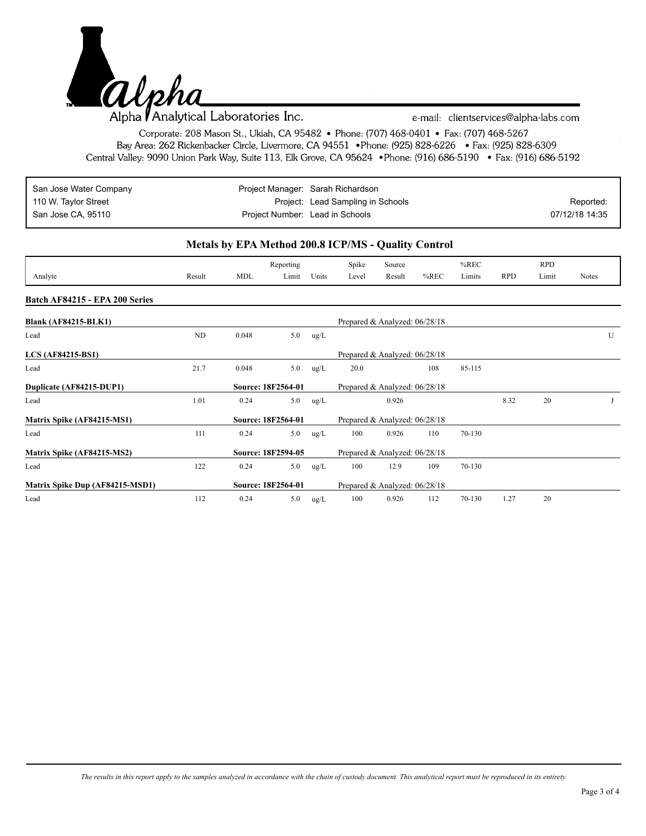

e-mail: clientservices@alpha-labs.com

Corporate: 208 Mason St., Ukiah, CA 95482 • Phone: (707) 468-0401 • Fax: (707) 468-5267 Bay Area: 262 Rickenbacker Circle, Livermore, CA 94551 • Phone: (925) 828-6226 • Fax: (925) 828-6309 Central Valley: 9090 Union Park Way, Suite 113, Elk Grove, CA 95624 • Phone: (916) 686-5190 • Fax: (916) 686-5192

| San Jose Water Company | Project Manager: Sarah Richardson |                |
|------------------------|-----------------------------------|----------------|
| 110 W. Taylor Street   | Project: Lead Sampling in Schools | Reported:      |
| San Jose CA, 95110     | Project Number: Lead in Schools   | 07/12/18 14:35 |

## **Metals by EPA Method 200.8 ICP/MS - Quality Control**

| Analyte                         | Result | <b>MDL</b>         | Reporting<br>Limit | Units      | Spike<br>Level | Source<br>Result              | $%$ REC | $%$ REC<br>Limits | <b>RPD</b> | <b>RPD</b><br>Limit | <b>Notes</b> |
|---------------------------------|--------|--------------------|--------------------|------------|----------------|-------------------------------|---------|-------------------|------------|---------------------|--------------|
|                                 |        |                    |                    |            |                |                               |         |                   |            |                     |              |
| Batch AF84215 - EPA 200 Series  |        |                    |                    |            |                |                               |         |                   |            |                     |              |
| <b>Blank (AF84215-BLK1)</b>     |        |                    |                    |            |                | Prepared & Analyzed: 06/28/18 |         |                   |            |                     |              |
| Lead                            | ND     | 0.048              | 5.0                | $\rm ug/L$ |                |                               |         |                   |            |                     | U            |
| $LCS$ (AF84215-BS1)             |        |                    |                    |            |                | Prepared & Analyzed: 06/28/18 |         |                   |            |                     |              |
| Lead                            | 21.7   | 0.048              | 5.0                | ug/L       | 20.0           |                               | 108     | 85-115            |            |                     |              |
| Duplicate (AF84215-DUP1)        |        | Source: 18F2564-01 |                    |            |                | Prepared & Analyzed: 06/28/18 |         |                   |            |                     |              |
| Lead                            | 1.01   | 0.24               | 5.0                | ug/L       |                | 0.926                         |         |                   | 8.32       | 20                  |              |
| Matrix Spike (AF84215-MS1)      |        | Source: 18F2564-01 |                    |            |                | Prepared & Analyzed: 06/28/18 |         |                   |            |                     |              |
| Lead                            | 111    | 0.24               | 5.0                | ug/L       | 100            | 0.926                         | 110     | 70-130            |            |                     |              |
| Matrix Spike (AF84215-MS2)      |        | Source: 18F2594-05 |                    |            |                | Prepared & Analyzed: 06/28/18 |         |                   |            |                     |              |
| Lead                            | 122    | 0.24               | 5.0                | ug/L       | 100            | 12.9                          | 109     | 70-130            |            |                     |              |
| Matrix Spike Dup (AF84215-MSD1) |        | Source: 18F2564-01 |                    |            |                | Prepared & Analyzed: 06/28/18 |         |                   |            |                     |              |
| Lead                            | 112    | 0.24               | 5.0                | ug/L       | 100            | 0.926                         | 112     | 70-130            | 1.27       | 20                  |              |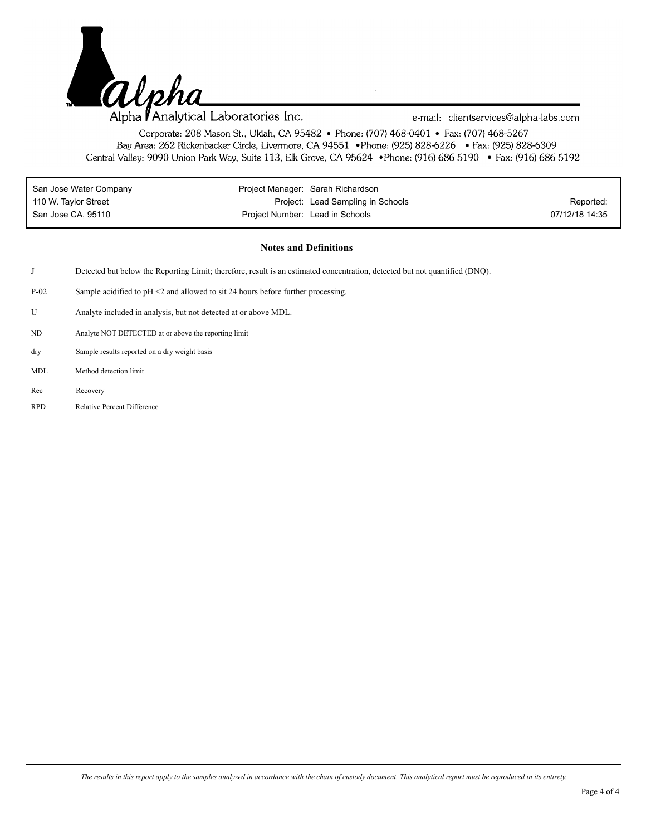

e-mail: clientservices@alpha-labs.com

Corporate: 208 Mason St., Ukiah, CA 95482 • Phone: (707) 468-0401 • Fax: (707) 468-5267 Bay Area: 262 Rickenbacker Circle, Livermore, CA 94551 • Phone: (925) 828-6226 • Fax: (925) 828-6309 Central Valley: 9090 Union Park Way, Suite 113, Elk Grove, CA 95624 • Phone: (916) 686-5190 • Fax: (916) 686-5192

| San Jose Water Company |                                 | Project Manager: Sarah Richardson |                |
|------------------------|---------------------------------|-----------------------------------|----------------|
| 110 W. Taylor Street   |                                 | Project: Lead Sampling in Schools | Reported:      |
| San Jose CA, 95110     | Project Number: Lead in Schools |                                   | 07/12/18 14:35 |

## **Notes and Definitions**

- J Detected but below the Reporting Limit; therefore, result is an estimated concentration, detected but not quantified (DNQ).
- P-02 Sample acidified to pH <2 and allowed to sit 24 hours before further processing.
- U Analyte included in analysis, but not detected at or above MDL.
- ND Analyte NOT DETECTED at or above the reporting limit
- Sample results reported on a dry weight basis dry
- MDL Method detection limit
- Rec Recovery
- RPD Relative Percent Difference